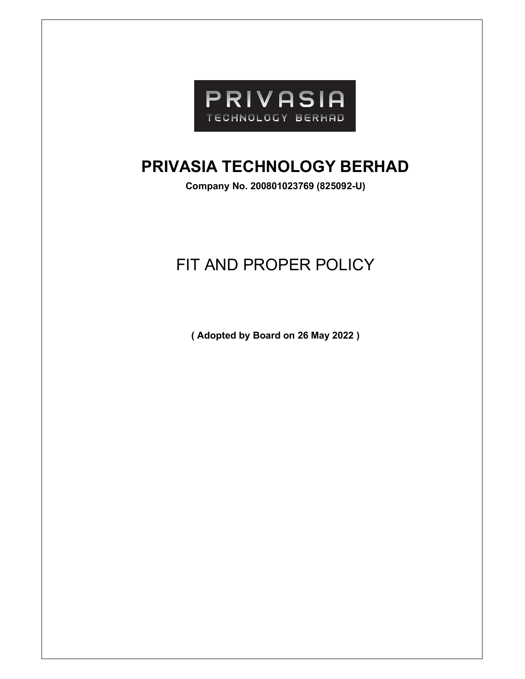

# PRIVASIA TECHNOLOGY BERHAD

Company No. 200801023769 (825092-U)

# FIT AND PROPER POLICY

( Adopted by Board on 26 May 2022 )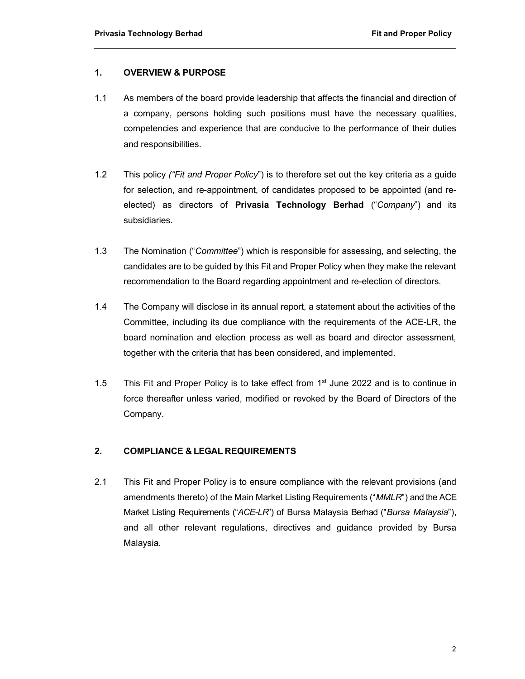# 1. OVERVIEW & PURPOSE

- 1.1 As members of the board provide leadership that affects the financial and direction of a company, persons holding such positions must have the necessary qualities, competencies and experience that are conducive to the performance of their duties and responsibilities.
- 1.2 This policy ("Fit and Proper Policy") is to therefore set out the key criteria as a guide for selection, and re-appointment, of candidates proposed to be appointed (and reelected) as directors of **Privasia Technology Berhad** ("Company") and its subsidiaries.
- 1.3 The Nomination ("Committee") which is responsible for assessing, and selecting, the candidates are to be guided by this Fit and Proper Policy when they make the relevant recommendation to the Board regarding appointment and re-election of directors.
- 1.4 The Company will disclose in its annual report, a statement about the activities of the Committee, including its due compliance with the requirements of the ACE-LR, the board nomination and election process as well as board and director assessment, together with the criteria that has been considered, and implemented.
- 1.5 This Fit and Proper Policy is to take effect from  $1<sup>st</sup>$  June 2022 and is to continue in force thereafter unless varied, modified or revoked by the Board of Directors of the Company.

#### 2. COMPLIANCE & LEGAL REQUIREMENTS

2.1 This Fit and Proper Policy is to ensure compliance with the relevant provisions (and amendments thereto) of the Main Market Listing Requirements ("MMLR") and the ACE Market Listing Requirements ("ACE-LR") of Bursa Malaysia Berhad ("Bursa Malaysia"), and all other relevant regulations, directives and guidance provided by Bursa Malaysia.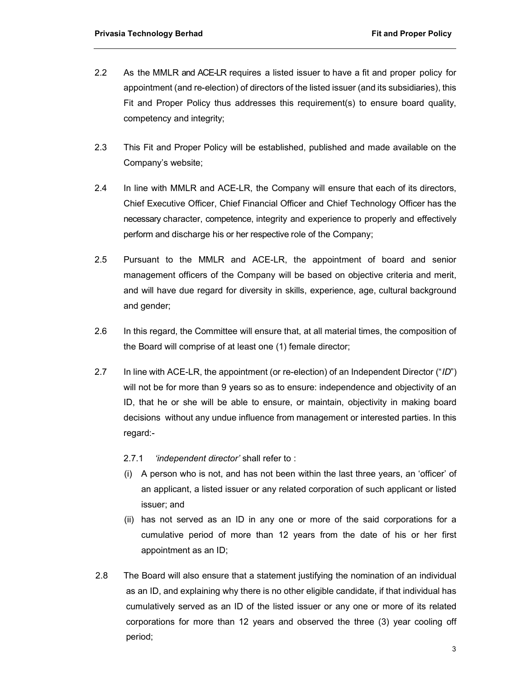- 2.2 As the MMLR and ACE-LR requires a listed issuer to have a fit and proper policy for appointment (and re-election) of directors of the listed issuer (and its subsidiaries), this Fit and Proper Policy thus addresses this requirement(s) to ensure board quality, competency and integrity;
- 2.3 This Fit and Proper Policy will be established, published and made available on the Company's website;
- 2.4 In line with MMLR and ACE-LR, the Company will ensure that each of its directors, Chief Executive Officer, Chief Financial Officer and Chief Technology Officer has the necessary character, competence, integrity and experience to properly and effectively perform and discharge his or her respective role of the Company;
- 2.5 Pursuant to the MMLR and ACE-LR, the appointment of board and senior management officers of the Company will be based on objective criteria and merit, and will have due regard for diversity in skills, experience, age, cultural background and gender;
- 2.6 In this regard, the Committee will ensure that, at all material times, the composition of the Board will comprise of at least one (1) female director;
- 2.7 In line with ACE-LR, the appointment (or re-election) of an Independent Director ("ID") will not be for more than 9 years so as to ensure: independence and objectivity of an ID, that he or she will be able to ensure, or maintain, objectivity in making board decisions without any undue influence from management or interested parties. In this regard:-

#### 2.7.1 'independent director' shall refer to :

- (i) A person who is not, and has not been within the last three years, an 'officer' of an applicant, a listed issuer or any related corporation of such applicant or listed issuer; and
- (ii) has not served as an ID in any one or more of the said corporations for a cumulative period of more than 12 years from the date of his or her first appointment as an ID;
- 2.8 The Board will also ensure that a statement justifying the nomination of an individual as an ID, and explaining why there is no other eligible candidate, if that individual has cumulatively served as an ID of the listed issuer or any one or more of its related corporations for more than 12 years and observed the three (3) year cooling off period;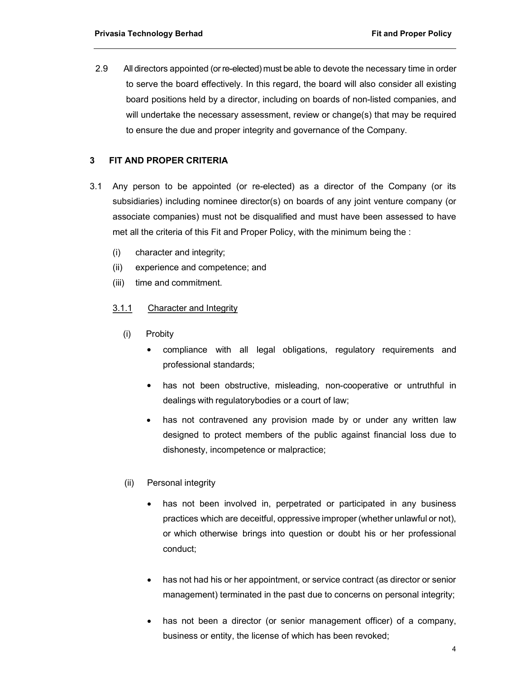2.9 All directors appointed (or re-elected) must be able to devote the necessary time in order to serve the board effectively. In this regard, the board will also consider all existing board positions held by a director, including on boards of non-listed companies, and will undertake the necessary assessment, review or change(s) that may be required to ensure the due and proper integrity and governance of the Company.

# 3 FIT AND PROPER CRITERIA

- 3.1 Any person to be appointed (or re-elected) as a director of the Company (or its subsidiaries) including nominee director(s) on boards of any joint venture company (or associate companies) must not be disqualified and must have been assessed to have met all the criteria of this Fit and Proper Policy, with the minimum being the :
	- (i) character and integrity;
	- (ii) experience and competence; and
	- (iii) time and commitment.

#### 3.1.1 Character and Integrity

- (i) Probity
	- compliance with all legal obligations, regulatory requirements and professional standards;
	- has not been obstructive, misleading, non-cooperative or untruthful in dealings with regulatorybodies or a court of law;
	- has not contravened any provision made by or under any written law designed to protect members of the public against financial loss due to dishonesty, incompetence or malpractice;

#### (ii) Personal integrity

- has not been involved in, perpetrated or participated in any business practices which are deceitful, oppressive improper (whether unlawful or not), or which otherwise brings into question or doubt his or her professional conduct;
- has not had his or her appointment, or service contract (as director or senior management) terminated in the past due to concerns on personal integrity;
- has not been a director (or senior management officer) of a company, business or entity, the license of which has been revoked;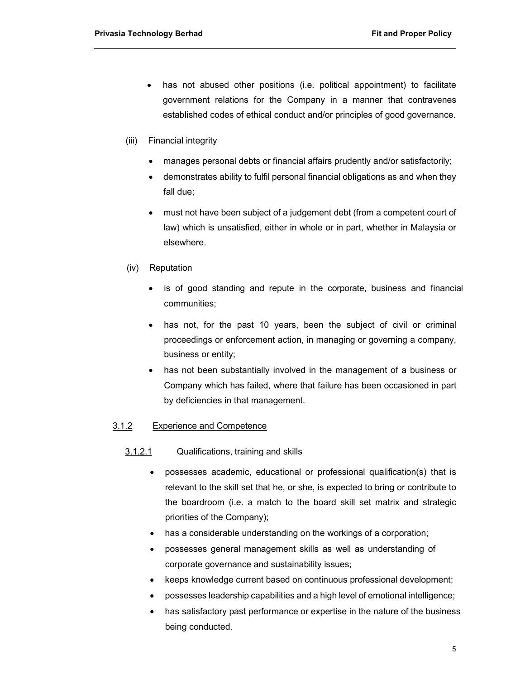- has not abused other positions (i.e. political appointment) to facilitate government relations for the Company in a manner that contravenes established codes of ethical conduct and/or principles of good governance.
- (iii) Financial integrity
	- manages personal debts or financial affairs prudently and/or satisfactorily;
	- demonstrates ability to fulfil personal financial obligations as and when they fall due;
	- must not have been subject of a judgement debt (from a competent court of law) which is unsatisfied, either in whole or in part, whether in Malaysia or elsewhere.
- (iv) Reputation
	- is of good standing and repute in the corporate, business and financial communities;
	- has not, for the past 10 years, been the subject of civil or criminal proceedings or enforcement action, in managing or governing a company, business or entity;
	- has not been substantially involved in the management of a business or Company which has failed, where that failure has been occasioned in part by deficiencies in that management.

#### 3.1.2 Experience and Competence

# 3.1.2.1 Qualifications, training and skills

- possesses academic, educational or professional qualification(s) that is relevant to the skill set that he, or she, is expected to bring or contribute to the boardroom (i.e. a match to the board skill set matrix and strategic priorities of the Company);
- has a considerable understanding on the workings of a corporation;
- possesses general management skills as well as understanding of corporate governance and sustainability issues;
- keeps knowledge current based on continuous professional development;
- possesses leadership capabilities and a high level of emotional intelligence;
- has satisfactory past performance or expertise in the nature of the business being conducted.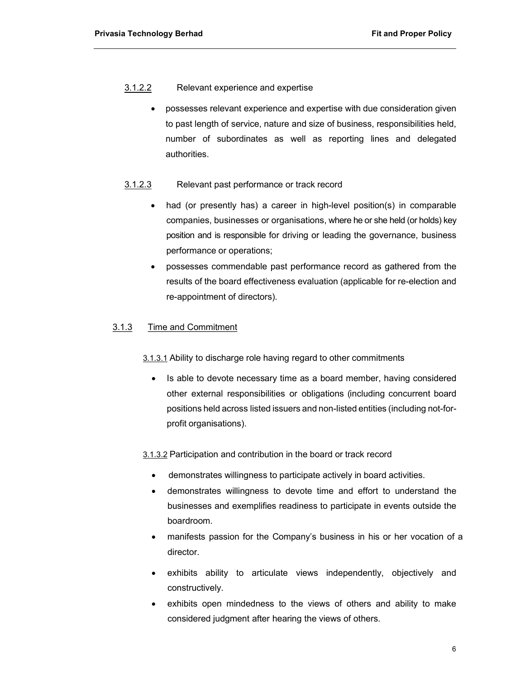# 3.1.2.2 Relevant experience and expertise

 possesses relevant experience and expertise with due consideration given to past length of service, nature and size of business, responsibilities held, number of subordinates as well as reporting lines and delegated authorities.

# 3.1.2.3 Relevant past performance or track record

- had (or presently has) a career in high-level position(s) in comparable companies, businesses or organisations, where he or she held (or holds) key position and is responsible for driving or leading the governance, business performance or operations;
- possesses commendable past performance record as gathered from the results of the board effectiveness evaluation (applicable for re-election and re-appointment of directors).

# 3.1.3 Time and Commitment

3.1.3.1 Ability to discharge role having regard to other commitments

• Is able to devote necessary time as a board member, having considered other external responsibilities or obligations (including concurrent board positions held across listed issuers and non-listed entities (including not-forprofit organisations).

3.1.3.2 Participation and contribution in the board or track record

- demonstrates willingness to participate actively in board activities.
- demonstrates willingness to devote time and effort to understand the businesses and exemplifies readiness to participate in events outside the boardroom.
- manifests passion for the Company's business in his or her vocation of a director.
- exhibits ability to articulate views independently, objectively and constructively.
- exhibits open mindedness to the views of others and ability to make considered judgment after hearing the views of others.